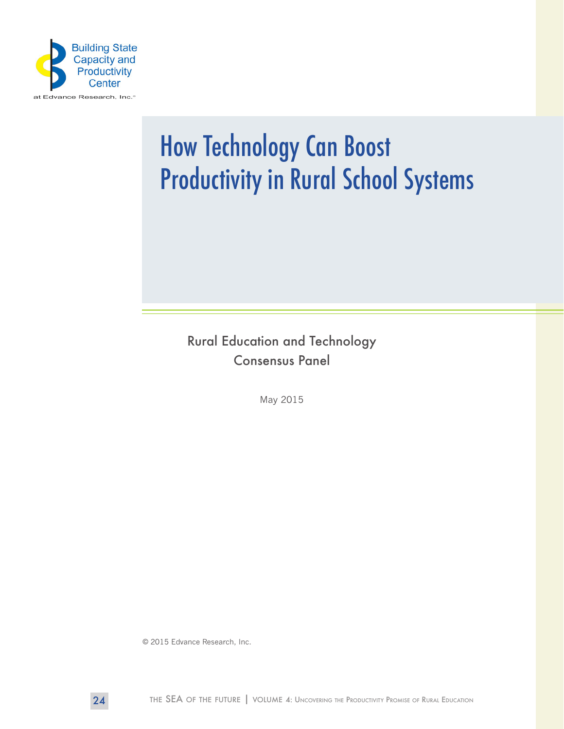

# How Technology Can Boost Productivity in Rural School Systems

Rural Education and Technology Consensus Panel

May 2015

© 2015 Edvance Research, Inc.

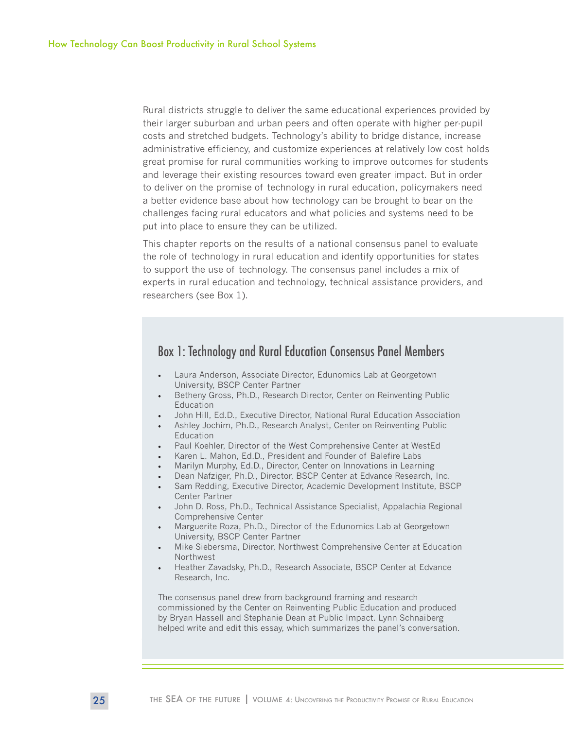Rural districts struggle to deliver the same educational experiences provided by their larger suburban and urban peers and often operate with higher per-pupil costs and stretched budgets. Technology's ability to bridge distance, increase administrative efficiency, and customize experiences at relatively low cost holds great promise for rural communities working to improve outcomes for students and leverage their existing resources toward even greater impact. But in order to deliver on the promise of technology in rural education, policymakers need a better evidence base about how technology can be brought to bear on the challenges facing rural educators and what policies and systems need to be put into place to ensure they can be utilized.

This chapter reports on the results of a national consensus panel to evaluate the role of technology in rural education and identify opportunities for states to support the use of technology. The consensus panel includes a mix of experts in rural education and technology, technical assistance providers, and researchers (see Box 1).

## Box 1: Technology and Rural Education Consensus Panel Members

- Laura Anderson, Associate Director, Edunomics Lab at Georgetown University, BSCP Center Partner
- Betheny Gross, Ph.D., Research Director, Center on Reinventing Public Education
- John Hill, Ed.D., Executive Director, National Rural Education Association
- Ashley Jochim, Ph.D., Research Analyst, Center on Reinventing Public Education
- Paul Koehler, Director of the West Comprehensive Center at WestEd
- Karen L. Mahon, Ed.D., President and Founder of Balefire Labs
- Marilyn Murphy, Ed.D., Director, Center on Innovations in Learning
- Dean Nafziger, Ph.D., Director, BSCP Center at Edvance Research, Inc.
- Sam Redding, Executive Director, Academic Development Institute, BSCP Center Partner
- John D. Ross, Ph.D., Technical Assistance Specialist, Appalachia Regional Comprehensive Center
- Marguerite Roza, Ph.D., Director of the Edunomics Lab at Georgetown University, BSCP Center Partner
- Mike Siebersma, Director, Northwest Comprehensive Center at Education Northwest
- Heather Zavadsky, Ph.D., Research Associate, BSCP Center at Edvance Research, Inc.

The consensus panel drew from background framing and research commissioned by the Center on Reinventing Public Education and produced by Bryan Hassell and Stephanie Dean at Public Impact. Lynn Schnaiberg helped write and edit this essay, which summarizes the panel's conversation.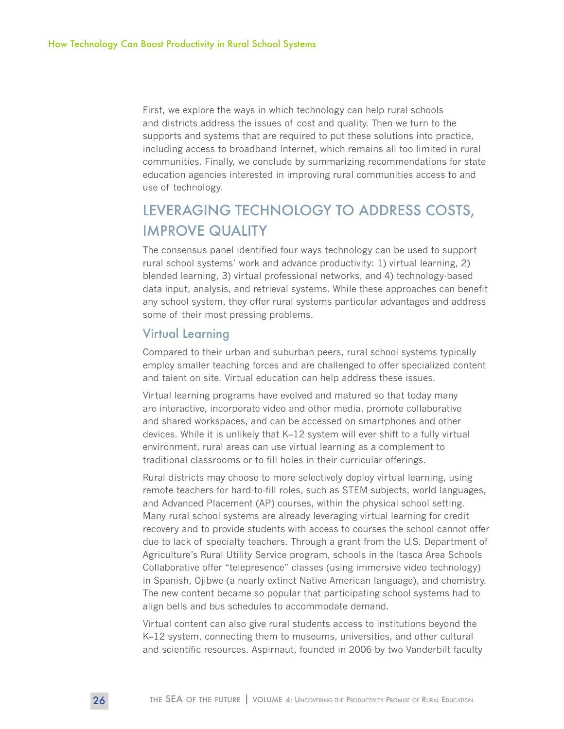First, we explore the ways in which technology can help rural schools and districts address the issues of cost and quality. Then we turn to the supports and systems that are required to put these solutions into practice, including access to broadband Internet, which remains all too limited in rural communities. Finally, we conclude by summarizing recommendations for state education agencies interested in improving rural communities access to and use of technology.

# LEVERAGING TECHNOLOGY TO ADDRESS COSTS, IMPROVE QUALITY

The consensus panel identified four ways technology can be used to support rural school systems' work and advance productivity: 1) virtual learning, 2) blended learning, 3) virtual professional networks, and 4) technology-based data input, analysis, and retrieval systems. While these approaches can benefit any school system, they offer rural systems particular advantages and address some of their most pressing problems.

#### Virtual Learning

Compared to their urban and suburban peers, rural school systems typically employ smaller teaching forces and are challenged to offer specialized content and talent on site. Virtual education can help address these issues.

Virtual learning programs have evolved and matured so that today many are interactive, incorporate video and other media, promote collaborative and shared workspaces, and can be accessed on smartphones and other devices. While it is unlikely that K–12 system will ever shift to a fully virtual environment, rural areas can use virtual learning as a complement to traditional classrooms or to fill holes in their curricular offerings.

Rural districts may choose to more selectively deploy virtual learning, using remote teachers for hard-to-fill roles, such as STEM subjects, world languages, and Advanced Placement (AP) courses, within the physical school setting. Many rural school systems are already leveraging virtual learning for credit recovery and to provide students with access to courses the school cannot offer due to lack of specialty teachers. Through a grant from the U.S. Department of Agriculture's Rural Utility Service program, schools in the Itasca Area Schools Collaborative offer "telepresence" classes (using immersive video technology) in Spanish, Ojibwe (a nearly extinct Native American language), and chemistry. The new content became so popular that participating school systems had to align bells and bus schedules to accommodate demand.

Virtual content can also give rural students access to institutions beyond the K–12 system, connecting them to museums, universities, and other cultural and scientific resources. Aspirnaut, founded in 2006 by two Vanderbilt faculty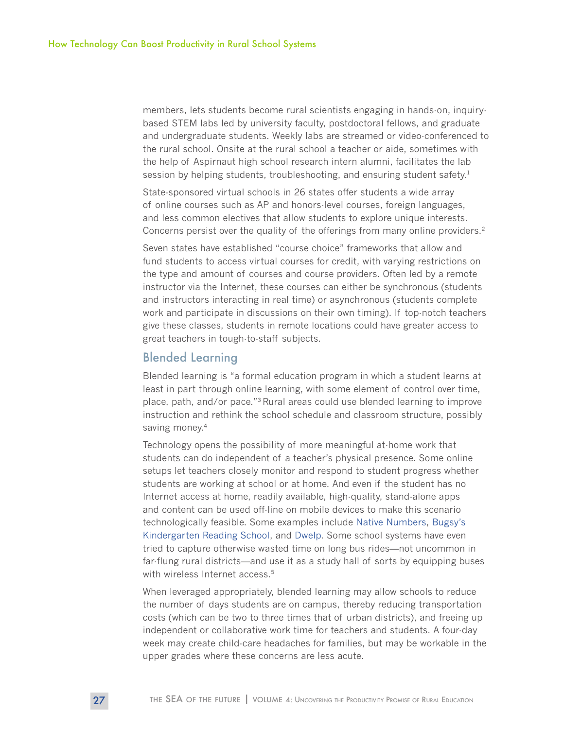members, lets students become rural scientists engaging in hands-on, inquirybased STEM labs led by university faculty, postdoctoral fellows, and graduate and undergraduate students. Weekly labs are streamed or video-conferenced to the rural school. Onsite at the rural school a teacher or aide, sometimes with the help of Aspirnaut high school research intern alumni, facilitates the lab session by helping students, troubleshooting, and ensuring student safety.<sup>1</sup>

State-sponsored virtual schools in 26 states offer students a wide array of online courses such as AP and honors-level courses, foreign languages, and less common electives that allow students to explore unique interests. Concerns persist over the quality of the offerings from many online providers.<sup>2</sup>

Seven states have established "course choice" frameworks that allow and fund students to access virtual courses for credit, with varying restrictions on the type and amount of courses and course providers. Often led by a remote instructor via the Internet, these courses can either be synchronous (students and instructors interacting in real time) or asynchronous (students complete work and participate in discussions on their own timing). If top-notch teachers give these classes, students in remote locations could have greater access to great teachers in tough-to-staff subjects.

#### Blended Learning

Blended learning is "a formal education program in which a student learns at least in part through online learning, with some element of control over time, place, path, and/or pace."3 Rural areas could use blended learning to improve instruction and rethink the school schedule and classroom structure, possibly saving money.<sup>4</sup>

Technology opens the possibility of more meaningful at-home work that students can do independent of a teacher's physical presence. Some online setups let teachers closely monitor and respond to student progress whether students are working at school or at home. And even if the student has no Internet access at home, readily available, high-quality, stand-alone apps and content can be used off-line on mobile devices to make this scenario technologically feasible. Some examples include [Native Numbers,](https://itunes.apple.com/us/app/native-numbers-complete-number/id570231808?mt=8) [Bugsy's](https://itunes.apple.com/us/app/bugsy-kindergarten-reading/id488776912?mt=8)  [Kindergarten Reading School,](https://itunes.apple.com/us/app/bugsy-kindergarten-reading/id488776912?mt=8) and [Dwelp.](https://itunes.apple.com/us/app/bugsy-kindergarten-reading/id488776912?mt=8) Some school systems have even tried to capture otherwise wasted time on long bus rides—not uncommon in far-flung rural districts—and use it as a study hall of sorts by equipping buses with wireless Internet access.<sup>5</sup>

When leveraged appropriately, blended learning may allow schools to reduce the number of days students are on campus, thereby reducing transportation costs (which can be two to three times that of urban districts), and freeing up independent or collaborative work time for teachers and students. A four-day week may create child-care headaches for families, but may be workable in the upper grades where these concerns are less acute.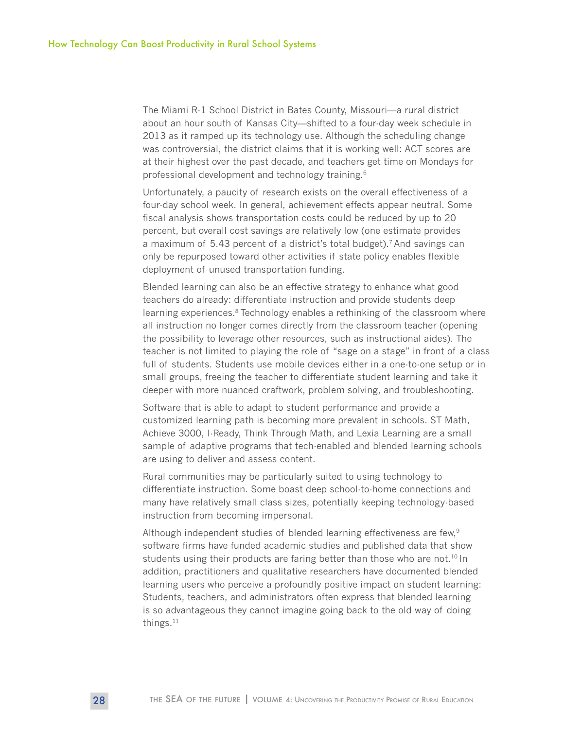The Miami R-1 School District in Bates County, Missouri—a rural district about an hour south of Kansas City—shifted to a four-day week schedule in 2013 as it ramped up its technology use. Although the scheduling change was controversial, the district claims that it is working well: ACT scores are at their highest over the past decade, and teachers get time on Mondays for professional development and technology training.<sup>6</sup>

Unfortunately, a paucity of research exists on the overall effectiveness of a four-day school week. In general, achievement effects appear neutral. Some fiscal analysis shows transportation costs could be reduced by up to 20 percent, but overall cost savings are relatively low (one estimate provides a maximum of 5.43 percent of a district's total budget).<sup>7</sup> And savings can only be repurposed toward other activities if state policy enables flexible deployment of unused transportation funding.

Blended learning can also be an effective strategy to enhance what good teachers do already: differentiate instruction and provide students deep learning experiences.<sup>8</sup> Technology enables a rethinking of the classroom where all instruction no longer comes directly from the classroom teacher (opening the possibility to leverage other resources, such as instructional aides). The teacher is not limited to playing the role of "sage on a stage" in front of a class full of students. Students use mobile devices either in a one-to-one setup or in small groups, freeing the teacher to differentiate student learning and take it deeper with more nuanced craftwork, problem solving, and troubleshooting.

Software that is able to adapt to student performance and provide a customized learning path is becoming more prevalent in schools. ST Math, Achieve 3000, I-Ready, Think Through Math, and Lexia Learning are a small sample of adaptive programs that tech-enabled and blended learning schools are using to deliver and assess content.

Rural communities may be particularly suited to using technology to differentiate instruction. Some boast deep school-to-home connections and many have relatively small class sizes, potentially keeping technology-based instruction from becoming impersonal.

Although independent studies of blended learning effectiveness are few,<sup>9</sup> software firms have funded academic studies and published data that show students using their products are faring better than those who are not.<sup>10</sup> In addition, practitioners and qualitative researchers have documented blended learning users who perceive a profoundly positive impact on student learning: Students, teachers, and administrators often express that blended learning is so advantageous they cannot imagine going back to the old way of doing things. $11$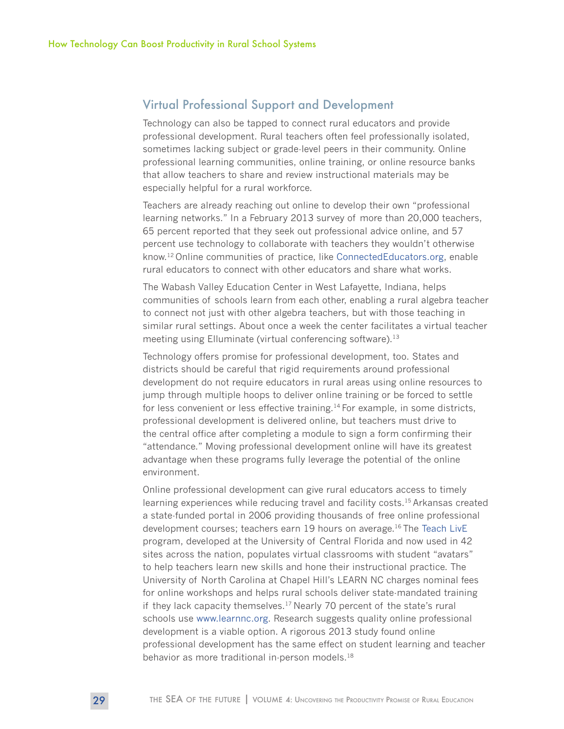### Virtual Professional Support and Development

Technology can also be tapped to connect rural educators and provide professional development. Rural teachers often feel professionally isolated, sometimes lacking subject or grade-level peers in their community. Online professional learning communities, online training, or online resource banks that allow teachers to share and review instructional materials may be especially helpful for a rural workforce.

Teachers are already reaching out online to develop their own "professional learning networks." In a February 2013 survey of more than 20,000 teachers, 65 percent reported that they seek out professional advice online, and 57 percent use technology to collaborate with teachers they wouldn't otherwise know.12 Online communities of practice, like [ConnectedEducators.org,](http://ConnectedEducators.org) enable rural educators to connect with other educators and share what works.

The Wabash Valley Education Center in West Lafayette, Indiana, helps communities of schools learn from each other, enabling a rural algebra teacher to connect not just with other algebra teachers, but with those teaching in similar rural settings. About once a week the center facilitates a virtual teacher meeting using Elluminate (virtual conferencing software).<sup>13</sup>

Technology offers promise for professional development, too. States and districts should be careful that rigid requirements around professional development do not require educators in rural areas using online resources to jump through multiple hoops to deliver online training or be forced to settle for less convenient or less effective training.<sup>14</sup> For example, in some districts, professional development is delivered online, but teachers must drive to the central office after completing a module to sign a form confirming their "attendance." Moving professional development online will have its greatest advantage when these programs fully leverage the potential of the online environment.

Online professional development can give rural educators access to timely learning experiences while reducing travel and facility costs.<sup>15</sup> Arkansas created a state-funded portal in 2006 providing thousands of free online professional development courses; teachers earn 19 hours on average.16 The [Teach LivE](http://teachlive.org/) program, developed at the University of Central Florida and now used in 42 sites across the nation, populates virtual classrooms with student "avatars" to help teachers learn new skills and hone their instructional practice. The University of North Carolina at Chapel Hill's LEARN NC charges nominal fees for online workshops and helps rural schools deliver state-mandated training if they lack capacity themselves.<sup>17</sup> Nearly 70 percent of the state's rural schools use [www.learnnc.org.](http://www.learnnc.org) Research suggests quality online professional development is a viable option. A rigorous 2013 study found online professional development has the same effect on student learning and teacher behavior as more traditional in-person models.<sup>18</sup>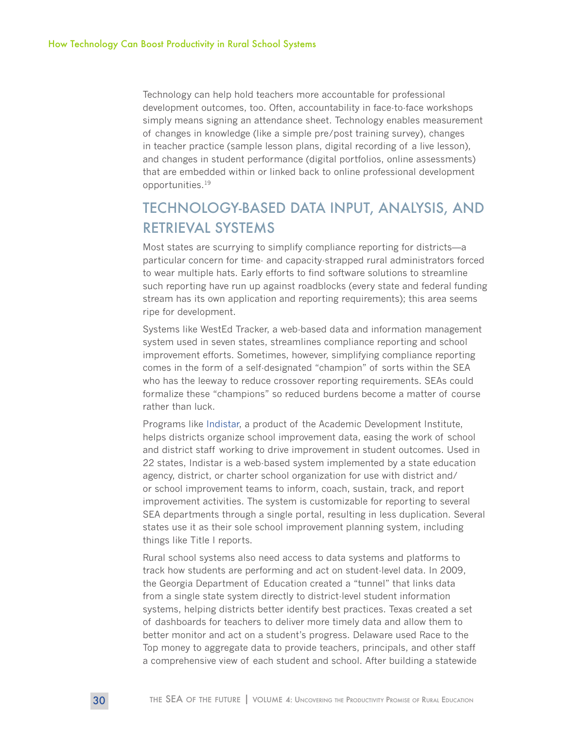Technology can help hold teachers more accountable for professional development outcomes, too. Often, accountability in face-to-face workshops simply means signing an attendance sheet. Technology enables measurement of changes in knowledge (like a simple pre/post training survey), changes in teacher practice (sample lesson plans, digital recording of a live lesson), and changes in student performance (digital portfolios, online assessments) that are embedded within or linked back to online professional development opportunities.19

# TECHNOLOGY-BASED DATA INPUT, ANALYSIS, AND RETRIEVAL SYSTEMS

Most states are scurrying to simplify compliance reporting for districts—a particular concern for time- and capacity-strapped rural administrators forced to wear multiple hats. Early efforts to find software solutions to streamline such reporting have run up against roadblocks (every state and federal funding stream has its own application and reporting requirements); this area seems ripe for development.

Systems like WestEd Tracker, a web-based data and information management system used in seven states, streamlines compliance reporting and school improvement efforts. Sometimes, however, simplifying compliance reporting comes in the form of a self-designated "champion" of sorts within the SEA who has the leeway to reduce crossover reporting requirements. SEAs could formalize these "champions" so reduced burdens become a matter of course rather than luck.

Programs like [Indistar](http://www.indistar.org/), a product of the Academic Development Institute, helps districts organize school improvement data, easing the work of school and district staff working to drive improvement in student outcomes. Used in 22 states, Indistar is a web-based system implemented by a state education agency, district, or charter school organization for use with district and/ or school improvement teams to inform, coach, sustain, track, and report improvement activities. The system is customizable for reporting to several SEA departments through a single portal, resulting in less duplication. Several states use it as their sole school improvement planning system, including things like Title I reports.

Rural school systems also need access to data systems and platforms to track how students are performing and act on student-level data. In 2009, the Georgia Department of Education created a "tunnel" that links data from a single state system directly to district-level student information systems, helping districts better identify best practices. Texas created a set of dashboards for teachers to deliver more timely data and allow them to better monitor and act on a student's progress. Delaware used Race to the Top money to aggregate data to provide teachers, principals, and other staff a comprehensive view of each student and school. After building a statewide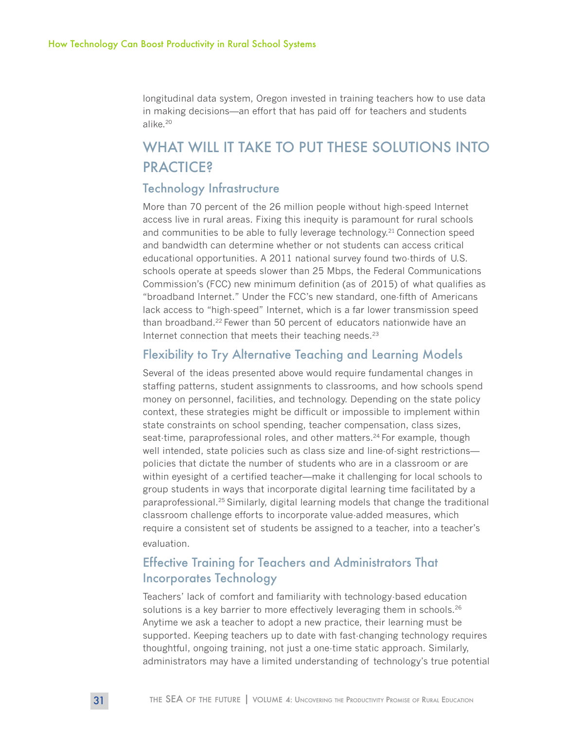longitudinal data system, Oregon invested in training teachers how to use data in making decisions—an effort that has paid off for teachers and students alike.20

# WHAT WILL IT TAKE TO PUT THESE SOLUTIONS INTO **PRACTICE?**

#### Technology Infrastructure

More than 70 percent of the 26 million people without high-speed Internet access live in rural areas. Fixing this inequity is paramount for rural schools and communities to be able to fully leverage technology.<sup>21</sup> Connection speed and bandwidth can determine whether or not students can access critical educational opportunities. A 2011 national survey found two-thirds of U.S. schools operate at speeds slower than 25 Mbps, the Federal Communications Commission's (FCC) new minimum definition (as of 2015) of what qualifies as "broadband Internet." Under the FCC's new standard, one-fifth of Americans lack access to "high-speed" Internet, which is a far lower transmission speed than broadband.<sup>22</sup> Fewer than 50 percent of educators nationwide have an Internet connection that meets their teaching needs. $23$ 

### Flexibility to Try Alternative Teaching and Learning Models

Several of the ideas presented above would require fundamental changes in staffing patterns, student assignments to classrooms, and how schools spend money on personnel, facilities, and technology. Depending on the state policy context, these strategies might be difficult or impossible to implement within state constraints on school spending, teacher compensation, class sizes, seat-time, paraprofessional roles, and other matters.<sup>24</sup> For example, though well intended, state policies such as class size and line-of-sight restrictions policies that dictate the number of students who are in a classroom or are within eyesight of a certified teacher—make it challenging for local schools to group students in ways that incorporate digital learning time facilitated by a paraprofessional.25 Similarly, digital learning models that change the traditional classroom challenge efforts to incorporate value-added measures, which require a consistent set of students be assigned to a teacher, into a teacher's evaluation.

# Effective Training for Teachers and Administrators That Incorporates Technology

Teachers' lack of comfort and familiarity with technology-based education solutions is a key barrier to more effectively leveraging them in schools.<sup>26</sup> Anytime we ask a teacher to adopt a new practice, their learning must be supported. Keeping teachers up to date with fast-changing technology requires thoughtful, ongoing training, not just a one-time static approach. Similarly, administrators may have a limited understanding of technology's true potential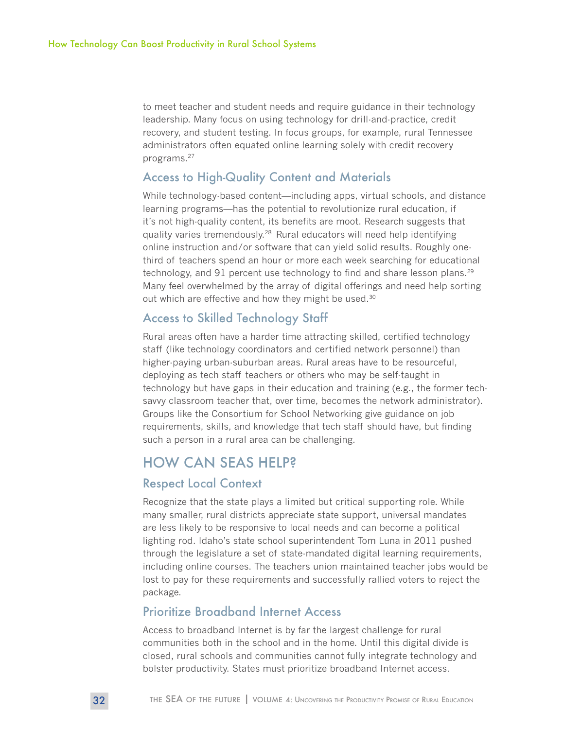to meet teacher and student needs and require guidance in their technology leadership. Many focus on using technology for drill-and-practice, credit recovery, and student testing. In focus groups, for example, rural Tennessee administrators often equated online learning solely with credit recovery programs.27

#### Access to High-Quality Content and Materials

While technology-based content—including apps, virtual schools, and distance learning programs—has the potential to revolutionize rural education, if it's not high-quality content, its benefits are moot. Research suggests that quality varies tremendously.<sup>28</sup> Rural educators will need help identifying online instruction and/or software that can yield solid results. Roughly onethird of teachers spend an hour or more each week searching for educational technology, and 91 percent use technology to find and share lesson plans.<sup>29</sup> Many feel overwhelmed by the array of digital offerings and need help sorting out which are effective and how they might be used.<sup>30</sup>

## Access to Skilled Technology Staff

Rural areas often have a harder time attracting skilled, certified technology staff (like technology coordinators and certified network personnel) than higher-paying urban-suburban areas. Rural areas have to be resourceful, deploying as tech staff teachers or others who may be self-taught in technology but have gaps in their education and training (e.g., the former techsavvy classroom teacher that, over time, becomes the network administrator). Groups like the Consortium for School Networking give guidance on job requirements, skills, and knowledge that tech staff should have, but finding such a person in a rural area can be challenging.

# HOW CAN SEAS HELP?

### Respect Local Context

Recognize that the state plays a limited but critical supporting role. While many smaller, rural districts appreciate state support, universal mandates are less likely to be responsive to local needs and can become a political lighting rod. Idaho's state school superintendent Tom Luna in 2011 pushed through the legislature a set of state-mandated digital learning requirements, including online courses. The teachers union maintained teacher jobs would be lost to pay for these requirements and successfully rallied voters to reject the package.

#### Prioritize Broadband Internet Access

Access to broadband Internet is by far the largest challenge for rural communities both in the school and in the home. Until this digital divide is closed, rural schools and communities cannot fully integrate technology and bolster productivity. States must prioritize broadband Internet access.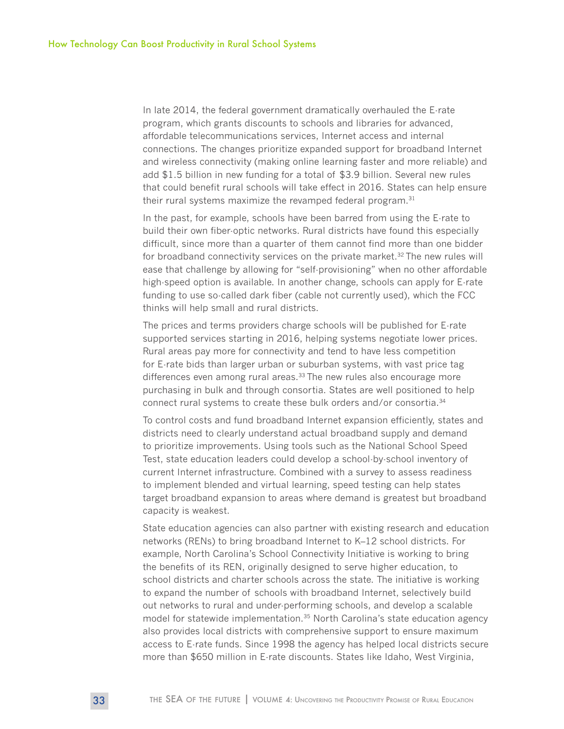In late 2014, the federal government dramatically overhauled the E-rate program, which grants discounts to schools and libraries for advanced, affordable telecommunications services, Internet access and internal connections. The changes prioritize expanded support for broadband Internet and wireless connectivity (making online learning faster and more reliable) and add \$1.5 billion in new funding for a total of \$3.9 billion. Several new rules that could benefit rural schools will take effect in 2016. States can help ensure their rural systems maximize the revamped federal program.<sup>31</sup>

In the past, for example, schools have been barred from using the E-rate to build their own fiber-optic networks. Rural districts have found this especially difficult, since more than a quarter of them cannot find more than one bidder for broadband connectivity services on the private market.<sup>32</sup> The new rules will ease that challenge by allowing for "self-provisioning" when no other affordable high-speed option is available. In another change, schools can apply for E-rate funding to use so-called dark fiber (cable not currently used), which the FCC thinks will help small and rural districts.

The prices and terms providers charge schools will be published for E-rate supported services starting in 2016, helping systems negotiate lower prices. Rural areas pay more for connectivity and tend to have less competition for E-rate bids than larger urban or suburban systems, with vast price tag differences even among rural areas.<sup>33</sup> The new rules also encourage more purchasing in bulk and through consortia. States are well positioned to help connect rural systems to create these bulk orders and/or consortia.<sup>34</sup>

To control costs and fund broadband Internet expansion efficiently, states and districts need to clearly understand actual broadband supply and demand to prioritize improvements. Using tools such as the National School Speed Test, state education leaders could develop a school-by-school inventory of current Internet infrastructure. Combined with a survey to assess readiness to implement blended and virtual learning, speed testing can help states target broadband expansion to areas where demand is greatest but broadband capacity is weakest.

State education agencies can also partner with existing research and education networks (RENs) to bring broadband Internet to K–12 school districts. For example, North Carolina's School Connectivity Initiative is working to bring the benefits of its REN, originally designed to serve higher education, to school districts and charter schools across the state. The initiative is working to expand the number of schools with broadband Internet, selectively build out networks to rural and under-performing schools, and develop a scalable model for statewide implementation.<sup>35</sup> North Carolina's state education agency also provides local districts with comprehensive support to ensure maximum access to E-rate funds. Since 1998 the agency has helped local districts secure more than \$650 million in E-rate discounts. States like Idaho, West Virginia,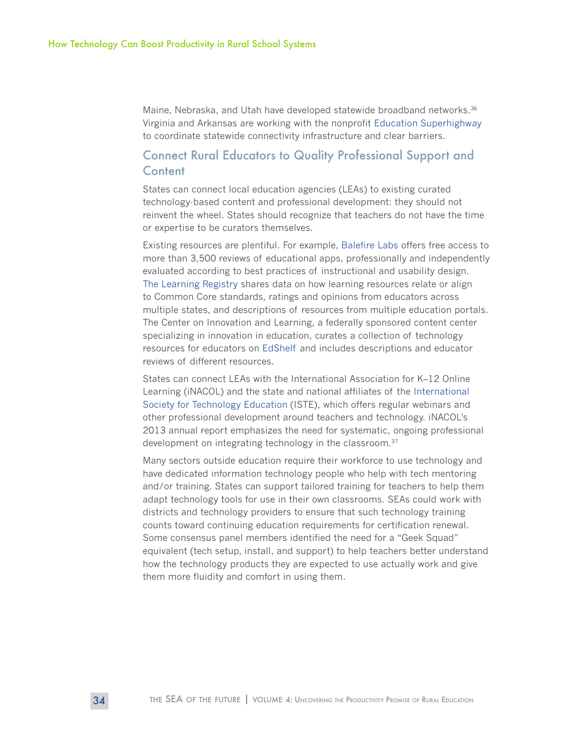Maine, Nebraska, and Utah have developed statewide broadband networks.<sup>36</sup> Virginia and Arkansas are working with the nonprofit [Education Superhighway](http://www.educationsuperhighway.org/states/) to coordinate statewide connectivity infrastructure and clear barriers.

#### Connect Rural Educators to Quality Professional Support and **Content**

States can connect local education agencies (LEAs) to existing curated technology-based content and professional development: they should not reinvent the wheel. States should recognize that teachers do not have the time or expertise to be curators themselves.

Existing resources are plentiful. For example, [Balefire Labs o](http://www.balefirelabs.com/apps/)ffers free access to more than 3,500 reviews of educational apps, professionally and independently evaluated according to best practices of instructional and usability design. [The Learning Registry s](http://learningregistry.org/educators)hares data on how learning resources relate or align to Common Core standards, ratings and opinions from educators across multiple states, and descriptions of resources from multiple education portals. The Center on Innovation and Learning, a federally sponsored content center specializing in innovation in education, curates a collection of technology resources for educators on [EdShelf](https://edshelf.com/profile/n0gkqt5) and includes descriptions and educator reviews of different resources.

States can connect LEAs with the International Association for K–12 Online Learning (iNACOL) and the state and national affiliates of the [International](http://www.iste.org/)  [Society for Technology Education](http://www.iste.org/) (ISTE), which offers regular webinars and other professional development around teachers and technology. iNACOL's 2013 annual report emphasizes the need for systematic, ongoing professional development on integrating technology in the classroom.<sup>37</sup>

Many sectors outside education require their workforce to use technology and have dedicated information technology people who help with tech mentoring and/or training. States can support tailored training for teachers to help them adapt technology tools for use in their own classrooms. SEAs could work with districts and technology providers to ensure that such technology training counts toward continuing education requirements for certification renewal. Some consensus panel members identified the need for a "Geek Squad" equivalent (tech setup, install, and support) to help teachers better understand how the technology products they are expected to use actually work and give them more fluidity and comfort in using them.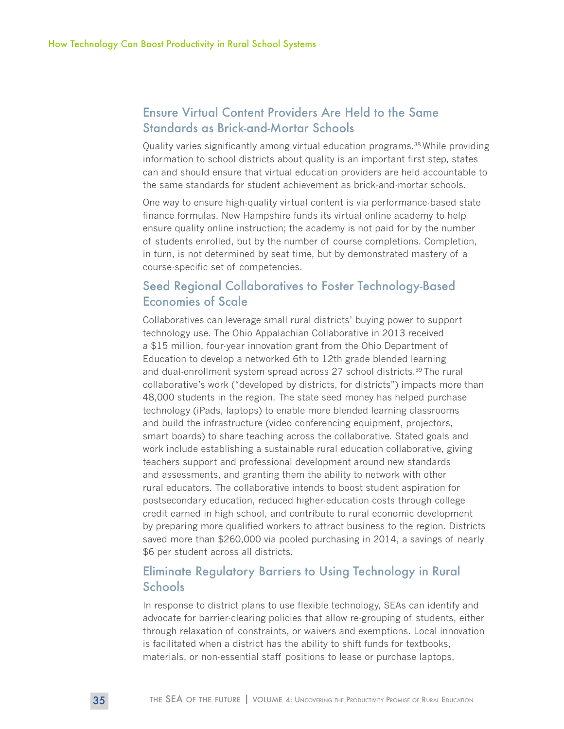## Ensure Virtual Content Providers Are Held to the Same Standards as Brick-and-Mortar Schools

Quality varies significantly among virtual education programs.<sup>38</sup> While providing information to school districts about quality is an important first step, states can and should ensure that virtual education providers are held accountable to the same standards for student achievement as brick-and-mortar schools.

One way to ensure high-quality virtual content is via performance-based state finance formulas. New Hampshire funds its virtual online academy to help ensure quality online instruction; the academy is not paid for by the number of students enrolled, but by the number of course completions. Completion, in turn, is not determined by seat time, but by demonstrated mastery of a course-specific set of competencies.

#### Seed Regional Collaboratives to Foster Technology-Based Economies of Scale

Collaboratives can leverage small rural districts' buying power to support technology use. The Ohio Appalachian Collaborative in 2013 received a \$15 million, four-year innovation grant from the Ohio Department of Education to develop a networked 6th to 12th grade blended learning and dual-enrollment system spread across 27 school districts.39 The rural collaborative's work ("developed by districts, for districts") impacts more than 48,000 students in the region. The state seed money has helped purchase technology (iPads, laptops) to enable more blended learning classrooms and build the infrastructure (video conferencing equipment, projectors, smart boards) to share teaching across the collaborative. Stated goals and work include establishing a sustainable rural education collaborative, giving teachers support and professional development around new standards and assessments, and granting them the ability to network with other rural educators. The collaborative intends to boost student aspiration for postsecondary education, reduced higher-education costs through college credit earned in high school, and contribute to rural economic development by preparing more qualified workers to attract business to the region. Districts saved more than \$260,000 via pooled purchasing in 2014, a savings of nearly \$6 per student across all districts.

## Eliminate Regulatory Barriers to Using Technology in Rural **Schools**

In response to district plans to use flexible technology, SEAs can identify and advocate for barrier-clearing policies that allow re-grouping of students, either through relaxation of constraints, or waivers and exemptions. Local innovation is facilitated when a district has the ability to shift funds for textbooks, materials, or non-essential staff positions to lease or purchase laptops,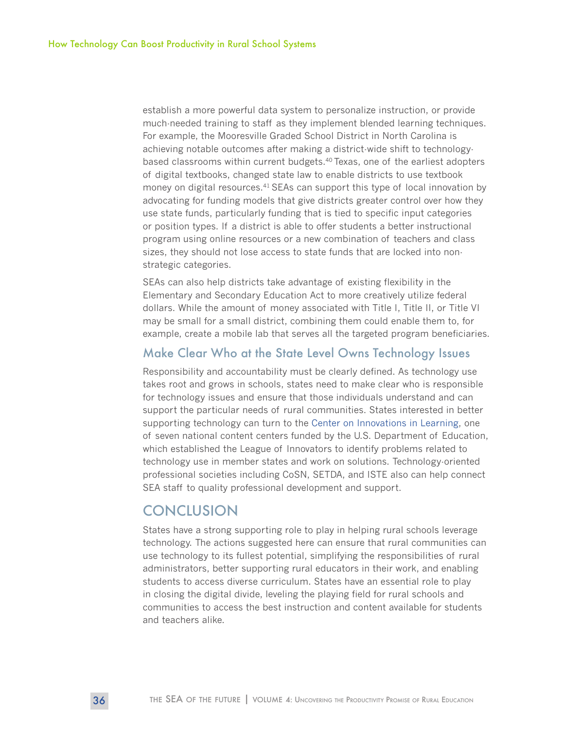establish a more powerful data system to personalize instruction, or provide much-needed training to staff as they implement blended learning techniques. For example, the Mooresville Graded School District in North Carolina is achieving notable outcomes after making a district-wide shift to technologybased classrooms within current budgets.<sup>40</sup> Texas, one of the earliest adopters of digital textbooks, changed state law to enable districts to use textbook money on digital resources.<sup>41</sup> SEAs can support this type of local innovation by advocating for funding models that give districts greater control over how they use state funds, particularly funding that is tied to specific input categories or position types. If a district is able to offer students a better instructional program using online resources or a new combination of teachers and class sizes, they should not lose access to state funds that are locked into nonstrategic categories.

SEAs can also help districts take advantage of existing flexibility in the Elementary and Secondary Education Act to more creatively utilize federal dollars. While the amount of money associated with Title I, Title II, or Title VI may be small for a small district, combining them could enable them to, for example, create a mobile lab that serves all the targeted program beneficiaries.

#### Make Clear Who at the State Level Owns Technology Issues

Responsibility and accountability must be clearly defined. As technology use takes root and grows in schools, states need to make clear who is responsible for technology issues and ensure that those individuals understand and can support the particular needs of rural communities. States interested in better supporting technology can turn to the [Center on Innovations in Learning,](http://www.centeril.org/) one of seven national content centers funded by the U.S. Department of Education, which established the League of Innovators to identify problems related to technology use in member states and work on solutions. Technology-oriented professional societies including CoSN, SETDA, and ISTE also can help connect SEA staff to quality professional development and support.

# **CONCLUSION**

States have a strong supporting role to play in helping rural schools leverage technology. The actions suggested here can ensure that rural communities can use technology to its fullest potential, simplifying the responsibilities of rural administrators, better supporting rural educators in their work, and enabling students to access diverse curriculum. States have an essential role to play in closing the digital divide, leveling the playing field for rural schools and communities to access the best instruction and content available for students and teachers alike.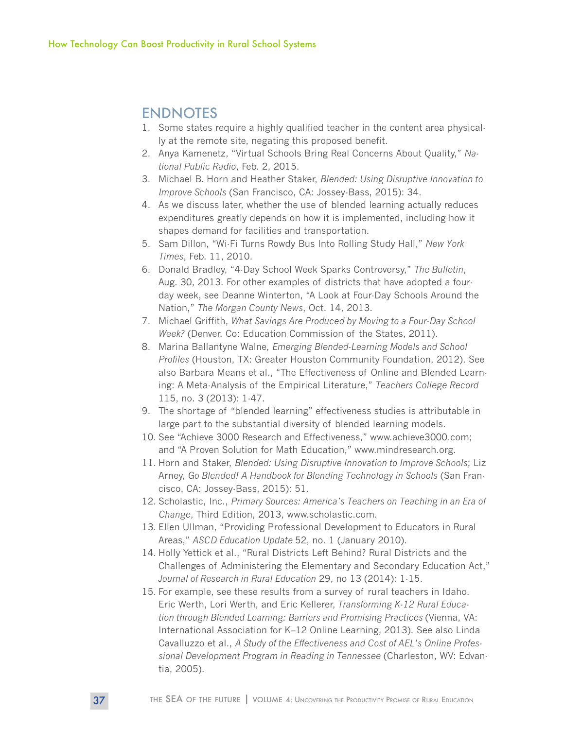# ENDNOTES

- 1. Some states require a highly qualified teacher in the content area physically at the remote site, negating this proposed benefit.
- 2. Anya Kamenetz, "Virtual Schools Bring Real Concerns About Quality," *National Public Radio*, Feb. 2, 2015.
- 3. Michael B. Horn and Heather Staker, *Blended: Using Disruptive Innovation to Improve Schools* (San Francisco, CA: Jossey-Bass, 2015): 34.
- 4. As we discuss later, whether the use of blended learning actually reduces expenditures greatly depends on how it is implemented, including how it shapes demand for facilities and transportation.
- 5. Sam Dillon, "Wi-Fi Turns Rowdy Bus Into Rolling Study Hall," *New York Times*, Feb. 11, 2010.
- 6. Donald Bradley, "4-Day School Week Sparks Controversy," *The Bulletin*, Aug. 30, 2013. For other examples of districts that have adopted a fourday week, see Deanne Winterton, "A Look at Four-Day Schools Around the Nation," *The Morgan County News*, Oct. 14, 2013.
- 7. Michael Griffith, *What Savings Are Produced by Moving to a Four-Day School Week?* (Denver, Co: Education Commission of the States, 2011).
- 8. Marina Ballantyne Walne, *Emerging Blended-Learning Models and School Profiles* (Houston, TX: Greater Houston Community Foundation, 2012). See also Barbara Means et al., "The Effectiveness of Online and Blended Learning: A Meta-Analysis of the Empirical Literature," *Teachers College Record*  115, no. 3 (2013): 1-47.
- 9. The shortage of "blended learning" effectiveness studies is attributable in large part to the substantial diversity of blended learning models.
- 10. See "Achieve 3000 Research and Effectiveness," www.achieve3000.com; and "A Proven Solution for Math Education," www.mindresearch.org.
- 11. Horn and Staker, *Blended: Using Disruptive Innovation to Improve Schools*; Liz Arney, *Go Blended! A Handbook for Blending Technology in Schools* (San Francisco, CA: Jossey-Bass, 2015): 51.
- 12. Scholastic, Inc., *Primary Sources: America's Teachers on Teaching in an Era of Change*, Third Edition, 2013, www.scholastic.com.
- 13. Ellen Ullman, "Providing Professional Development to Educators in Rural Areas," *ASCD Education Update* 52, no. 1 (January 2010).
- 14. Holly Yettick et al., "Rural Districts Left Behind? Rural Districts and the Challenges of Administering the Elementary and Secondary Education Act," *Journal of Research in Rural Education* 29, no 13 (2014): 1-15.
- 15. For example, see these results from a survey of rural teachers in Idaho. Eric Werth, Lori Werth, and Eric Kellerer, *Transforming K-12 Rural Education through Blended Learning: Barriers and Promising Practices* (Vienna, VA: International Association for K–12 Online Learning, 2013). See also Linda Cavalluzzo et al., *A Study of the Effectiveness and Cost of AEL's Online Professional Development Program in Reading in Tennessee* (Charleston, WV: Edvantia, 2005).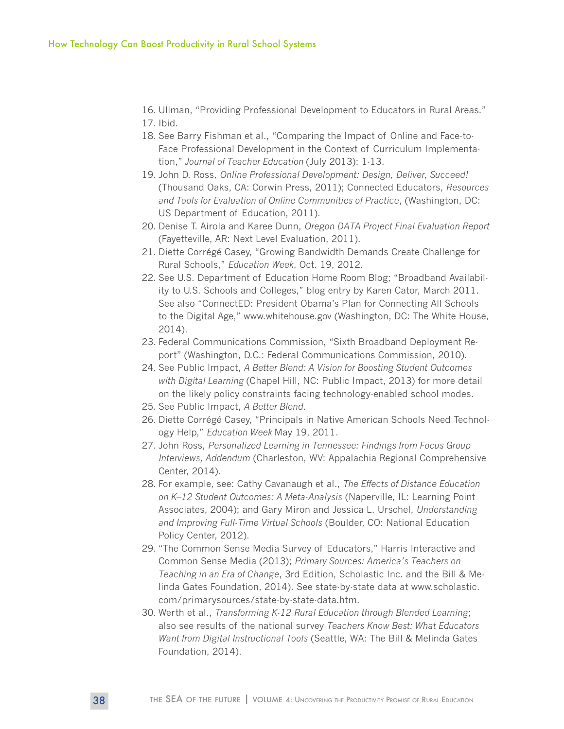- 16. Ullman, "Providing Professional Development to Educators in Rural Areas."
- 17. Ibid.
- 18. See Barry Fishman et al., "Comparing the Impact of Online and Face-to-Face Professional Development in the Context of Curriculum Implementation," *Journal of Teacher Education* (July 2013): 1-13.
- 19. John D. Ross, *Online Professional Development: Design, Deliver, Succeed!* (Thousand Oaks, CA: Corwin Press, 2011); Connected Educators, *Resources and Tools for Evaluation of Online Communities of Practice*, (Washington, DC: US Department of Education, 2011).
- 20. Denise T. Airola and Karee Dunn, *Oregon DATA Project Final Evaluation Report* (Fayetteville, AR: Next Level Evaluation, 2011).
- 21. Diette Corrégé Casey, "Growing Bandwidth Demands Create Challenge for Rural Schools," *Education Week*, Oct. 19, 2012.
- 22. See U.S. Department of Education Home Room Blog; "Broadband Availability to U.S. Schools and Colleges," blog entry by Karen Cator, March 2011. See also "ConnectED: President Obama's Plan for Connecting All Schools to the Digital Age," www.whitehouse.gov (Washington, DC: The White House, 2014).
- 23. Federal Communications Commission, "Sixth Broadband Deployment Report" (Washington, D.C.: Federal Communications Commission, 2010).
- 24. See Public Impact, *A Better Blend: A Vision for Boosting Student Outcomes with Digital Learning* (Chapel Hill, NC: Public Impact, 2013) for more detail on the likely policy constraints facing technology-enabled school modes.
- 25. See Public Impact, *A Better Blend*.
- 26. Diette Corrégé Casey, "Principals in Native American Schools Need Technology Help," *Education Week* May 19, 2011.
- 27. John Ross, *Personalized Learning in Tennessee: Findings from Focus Group Interviews, Addendum* (Charleston, WV: Appalachia Regional Comprehensive Center, 2014).
- 28. For example, see: Cathy Cavanaugh et al., *The Effects of Distance Education on K–12 Student Outcomes: A Meta-Analysis* (Naperville, IL: Learning Point Associates, 2004); and Gary Miron and Jessica L. Urschel, *Understanding and Improving Full-Time Virtual Schools* (Boulder, CO: National Education Policy Center, 2012).
- 29. "The Common Sense Media Survey of Educators," Harris Interactive and Common Sense Media (2013); *Primary Sources: America's Teachers on Teaching in an Era of Change*, 3rd Edition, Scholastic Inc. and the Bill & Melinda Gates Foundation, 2014). See state-by-state data at www.scholastic. com/primarysources/state-by-state-data.htm.
- 30. Werth et al., *Transforming K-12 Rural Education through Blended Learning*; also see results of the national survey *Teachers Know Best: What Educators Want from Digital Instructional Tools* (Seattle, WA: The Bill & Melinda Gates Foundation, 2014).